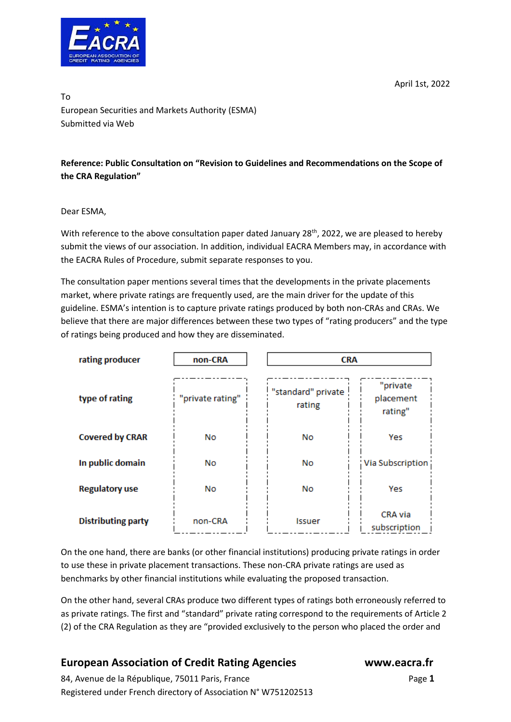April 1st, 2022



To European Securities and Markets Authority (ESMA) Submitted via Web

## **Reference: Public Consultation on "Revision to Guidelines and Recommendations on the Scope of the CRA Regulation"**

#### Dear ESMA,

With reference to the above consultation paper dated January 28<sup>th</sup>, 2022, we are pleased to hereby submit the views of our association. In addition, individual EACRA Members may, in accordance with the EACRA Rules of Procedure, submit separate responses to you.

The consultation paper mentions several times that the developments in the private placements market, where private ratings are frequently used, are the main driver for the update of this guideline. ESMA's intention is to capture private ratings produced by both non-CRAs and CRAs. We believe that there are major differences between these two types of "rating producers" and the type of ratings being produced and how they are disseminated.

| rating producer           | non-CRA          |                              | <b>CRA</b>                       |  |
|---------------------------|------------------|------------------------------|----------------------------------|--|
| type of rating            | "private rating" | "standard" private<br>rating | "private<br>placement<br>rating" |  |
| <b>Covered by CRAR</b>    | No               | No                           | Yes                              |  |
| In public domain          | No               | No                           | Via Subscription                 |  |
| <b>Regulatory use</b>     | No               | No                           | Yes                              |  |
| <b>Distributing party</b> | non-CRA          | Issuer                       | CRA via<br>subscription          |  |

On the one hand, there are banks (or other financial institutions) producing private ratings in order to use these in private placement transactions. These non-CRA private ratings are used as benchmarks by other financial institutions while evaluating the proposed transaction.

On the other hand, several CRAs produce two different types of ratings both erroneously referred to as private ratings. The first and "standard" private rating correspond to the requirements of Article 2 (2) of the CRA Regulation as they are "provided exclusively to the person who placed the order and

# **European Association of Credit Rating Agencies www.eacra.fr**

84, Avenue de la République, 75011 Paris, FrancePage **1** Registered under French directory of Association N° W751202513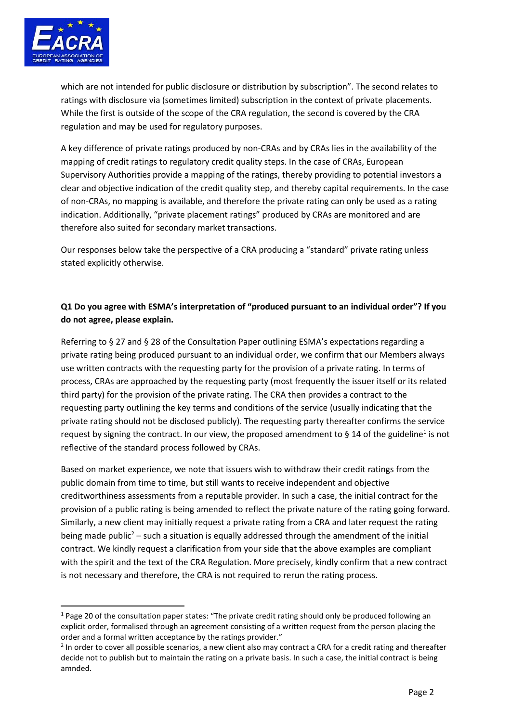

which are not intended for public disclosure or distribution by subscription". The second relates to ratings with disclosure via (sometimes limited) subscription in the context of private placements. While the first is outside of the scope of the CRA regulation, the second is covered by the CRA regulation and may be used for regulatory purposes.

A key difference of private ratings produced by non-CRAs and by CRAs lies in the availability of the mapping of credit ratings to regulatory credit quality steps. In the case of CRAs, European Supervisory Authorities provide a mapping of the ratings, thereby providing to potential investors a clear and objective indication of the credit quality step, and thereby capital requirements. In the case of non-CRAs, no mapping is available, and therefore the private rating can only be used as a rating indication. Additionally, "private placement ratings" produced by CRAs are monitored and are therefore also suited for secondary market transactions.

Our responses below take the perspective of a CRA producing a "standard" private rating unless stated explicitly otherwise.

## **Q1 Do you agree with ESMA's interpretation of "produced pursuant to an individual order"? If you do not agree, please explain.**

Referring to § 27 and § 28 of the Consultation Paper outlining ESMA's expectations regarding a private rating being produced pursuant to an individual order, we confirm that our Members always use written contracts with the requesting party for the provision of a private rating. In terms of process, CRAs are approached by the requesting party (most frequently the issuer itself or its related third party) for the provision of the private rating. The CRA then provides a contract to the requesting party outlining the key terms and conditions of the service (usually indicating that the private rating should not be disclosed publicly). The requesting party thereafter confirms the service request by signing the contract. In our view, the proposed amendment to § 14 of the guideline<sup>1</sup> is not reflective of the standard process followed by CRAs.

Based on market experience, we note that issuers wish to withdraw their credit ratings from the public domain from time to time, but still wants to receive independent and objective creditworthiness assessments from a reputable provider. In such a case, the initial contract for the provision of a public rating is being amended to reflect the private nature of the rating going forward. Similarly, a new client may initially request a private rating from a CRA and later request the rating being made public<sup>2</sup> – such a situation is equally addressed through the amendment of the initial contract. We kindly request a clarification from your side that the above examples are compliant with the spirit and the text of the CRA Regulation. More precisely, kindly confirm that a new contract is not necessary and therefore, the CRA is not required to rerun the rating process.

 $1$  Page 20 of the consultation paper states: "The private credit rating should only be produced following an explicit order, formalised through an agreement consisting of a written request from the person placing the order and a formal written acceptance by the ratings provider."

 $2$  In order to cover all possible scenarios, a new client also may contract a CRA for a credit rating and thereafter decide not to publish but to maintain the rating on a private basis. In such a case, the initial contract is being amnded.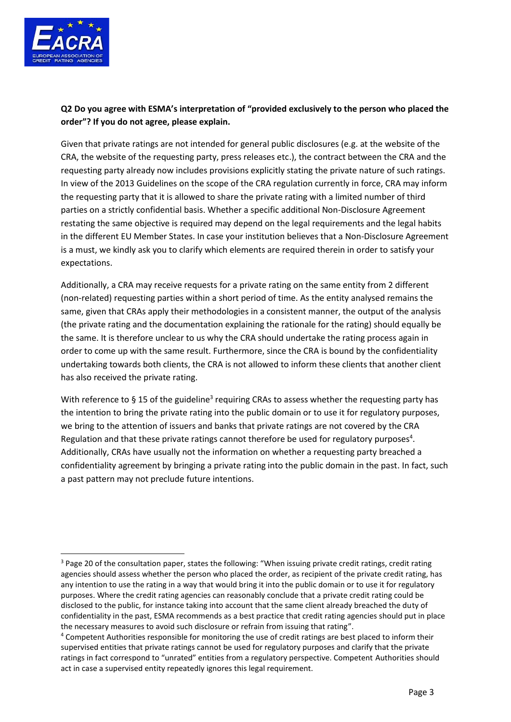

## **Q2 Do you agree with ESMA's interpretation of "provided exclusively to the person who placed the order"? If you do not agree, please explain.**

Given that private ratings are not intended for general public disclosures (e.g. at the website of the CRA, the website of the requesting party, press releases etc.), the contract between the CRA and the requesting party already now includes provisions explicitly stating the private nature of such ratings. In view of the 2013 Guidelines on the scope of the CRA regulation currently in force, CRA may inform the requesting party that it is allowed to share the private rating with a limited number of third parties on a strictly confidential basis. Whether a specific additional Non-Disclosure Agreement restating the same objective is required may depend on the legal requirements and the legal habits in the different EU Member States. In case your institution believes that a Non-Disclosure Agreement is a must, we kindly ask you to clarify which elements are required therein in order to satisfy your expectations.

Additionally, a CRA may receive requests for a private rating on the same entity from 2 different (non-related) requesting parties within a short period of time. As the entity analysed remains the same, given that CRAs apply their methodologies in a consistent manner, the output of the analysis (the private rating and the documentation explaining the rationale for the rating) should equally be the same. It is therefore unclear to us why the CRA should undertake the rating process again in order to come up with the same result. Furthermore, since the CRA is bound by the confidentiality undertaking towards both clients, the CRA is not allowed to inform these clients that another client has also received the private rating.

With reference to § 15 of the guideline<sup>3</sup> requiring CRAs to assess whether the requesting party has the intention to bring the private rating into the public domain or to use it for regulatory purposes, we bring to the attention of issuers and banks that private ratings are not covered by the CRA Regulation and that these private ratings cannot therefore be used for regulatory purposes<sup>4</sup>. Additionally, CRAs have usually not the information on whether a requesting party breached a confidentiality agreement by bringing a private rating into the public domain in the past. In fact, such a past pattern may not preclude future intentions.

<sup>&</sup>lt;sup>3</sup> Page 20 of the consultation paper, states the following: "When issuing private credit ratings, credit rating agencies should assess whether the person who placed the order, as recipient of the private credit rating, has any intention to use the rating in a way that would bring it into the public domain or to use it for regulatory purposes. Where the credit rating agencies can reasonably conclude that a private credit rating could be disclosed to the public, for instance taking into account that the same client already breached the duty of confidentiality in the past, ESMA recommends as a best practice that credit rating agencies should put in place the necessary measures to avoid such disclosure or refrain from issuing that rating".

<sup>4</sup> Competent Authorities responsible for monitoring the use of credit ratings are best placed to inform their supervised entities that private ratings cannot be used for regulatory purposes and clarify that the private ratings in fact correspond to "unrated" entities from a regulatory perspective. Competent Authorities should act in case a supervised entity repeatedly ignores this legal requirement.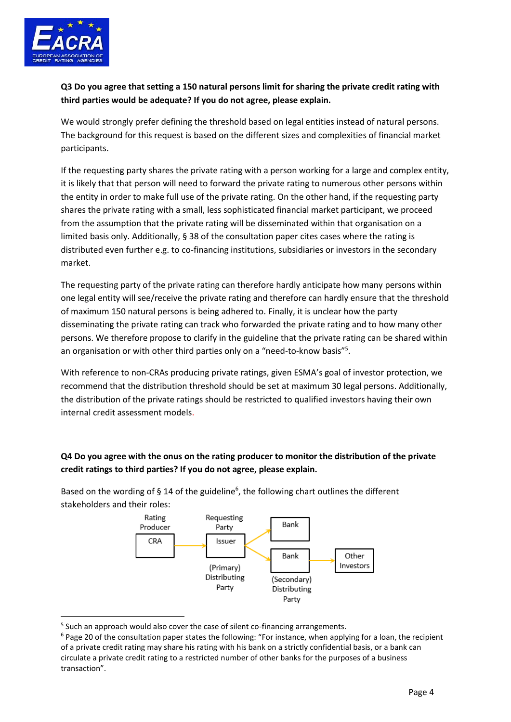

## **Q3 Do you agree that setting a 150 natural persons limit for sharing the private credit rating with third parties would be adequate? If you do not agree, please explain.**

We would strongly prefer defining the threshold based on legal entities instead of natural persons. The background for this request is based on the different sizes and complexities of financial market participants.

If the requesting party shares the private rating with a person working for a large and complex entity, it is likely that that person will need to forward the private rating to numerous other persons within the entity in order to make full use of the private rating. On the other hand, if the requesting party shares the private rating with a small, less sophisticated financial market participant, we proceed from the assumption that the private rating will be disseminated within that organisation on a limited basis only. Additionally, § 38 of the consultation paper cites cases where the rating is distributed even further e.g. to co-financing institutions, subsidiaries or investors in the secondary market.

The requesting party of the private rating can therefore hardly anticipate how many persons within one legal entity will see/receive the private rating and therefore can hardly ensure that the threshold of maximum 150 natural persons is being adhered to. Finally, it is unclear how the party disseminating the private rating can track who forwarded the private rating and to how many other persons. We therefore propose to clarify in the guideline that the private rating can be shared within an organisation or with other third parties only on a "need-to-know basis"<sup>5</sup>.

With reference to non-CRAs producing private ratings, given ESMA's goal of investor protection, we recommend that the distribution threshold should be set at maximum 30 legal persons. Additionally, the distribution of the private ratings should be restricted to qualified investors having their own internal credit assessment models.

# **Q4 Do you agree with the onus on the rating producer to monitor the distribution of the private credit ratings to third parties? If you do not agree, please explain.**



Based on the wording of § 14 of the guideline<sup>6</sup>, the following chart outlines the different stakeholders and their roles:

<sup>&</sup>lt;sup>5</sup> Such an approach would also cover the case of silent co-financing arrangements.

<sup>6</sup> Page 20 of the consultation paper states the following: "For instance, when applying for a loan, the recipient of a private credit rating may share his rating with his bank on a strictly confidential basis, or a bank can circulate a private credit rating to a restricted number of other banks for the purposes of a business transaction".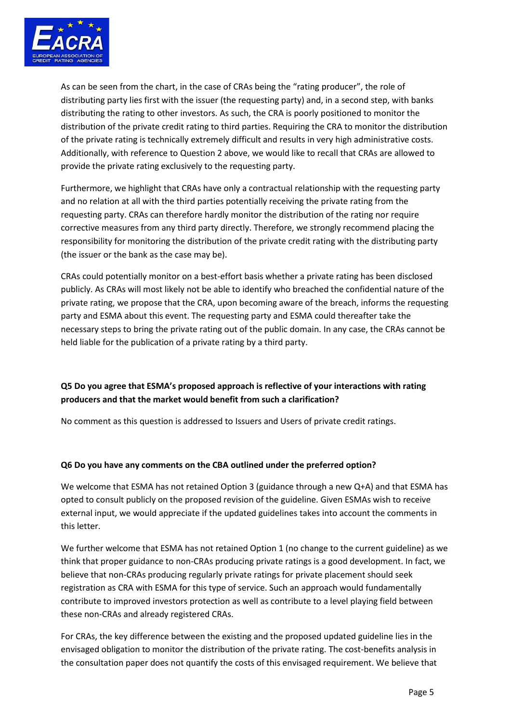

As can be seen from the chart, in the case of CRAs being the "rating producer", the role of distributing party lies first with the issuer (the requesting party) and, in a second step, with banks distributing the rating to other investors. As such, the CRA is poorly positioned to monitor the distribution of the private credit rating to third parties. Requiring the CRA to monitor the distribution of the private rating is technically extremely difficult and results in very high administrative costs. Additionally, with reference to Question 2 above, we would like to recall that CRAs are allowed to provide the private rating exclusively to the requesting party.

Furthermore, we highlight that CRAs have only a contractual relationship with the requesting party and no relation at all with the third parties potentially receiving the private rating from the requesting party. CRAs can therefore hardly monitor the distribution of the rating nor require corrective measures from any third party directly. Therefore, we strongly recommend placing the responsibility for monitoring the distribution of the private credit rating with the distributing party (the issuer or the bank as the case may be).

CRAs could potentially monitor on a best-effort basis whether a private rating has been disclosed publicly. As CRAs will most likely not be able to identify who breached the confidential nature of the private rating, we propose that the CRA, upon becoming aware of the breach, informs the requesting party and ESMA about this event. The requesting party and ESMA could thereafter take the necessary steps to bring the private rating out of the public domain. In any case, the CRAs cannot be held liable for the publication of a private rating by a third party.

## **Q5 Do you agree that ESMA's proposed approach is reflective of your interactions with rating producers and that the market would benefit from such a clarification?**

No comment as this question is addressed to Issuers and Users of private credit ratings.

### **Q6 Do you have any comments on the CBA outlined under the preferred option?**

We welcome that ESMA has not retained Option 3 (guidance through a new Q+A) and that ESMA has opted to consult publicly on the proposed revision of the guideline. Given ESMAs wish to receive external input, we would appreciate if the updated guidelines takes into account the comments in this letter.

We further welcome that ESMA has not retained Option 1 (no change to the current guideline) as we think that proper guidance to non-CRAs producing private ratings is a good development. In fact, we believe that non-CRAs producing regularly private ratings for private placement should seek registration as CRA with ESMA for this type of service. Such an approach would fundamentally contribute to improved investors protection as well as contribute to a level playing field between these non-CRAs and already registered CRAs.

For CRAs, the key difference between the existing and the proposed updated guideline lies in the envisaged obligation to monitor the distribution of the private rating. The cost-benefits analysis in the consultation paper does not quantify the costs of this envisaged requirement. We believe that